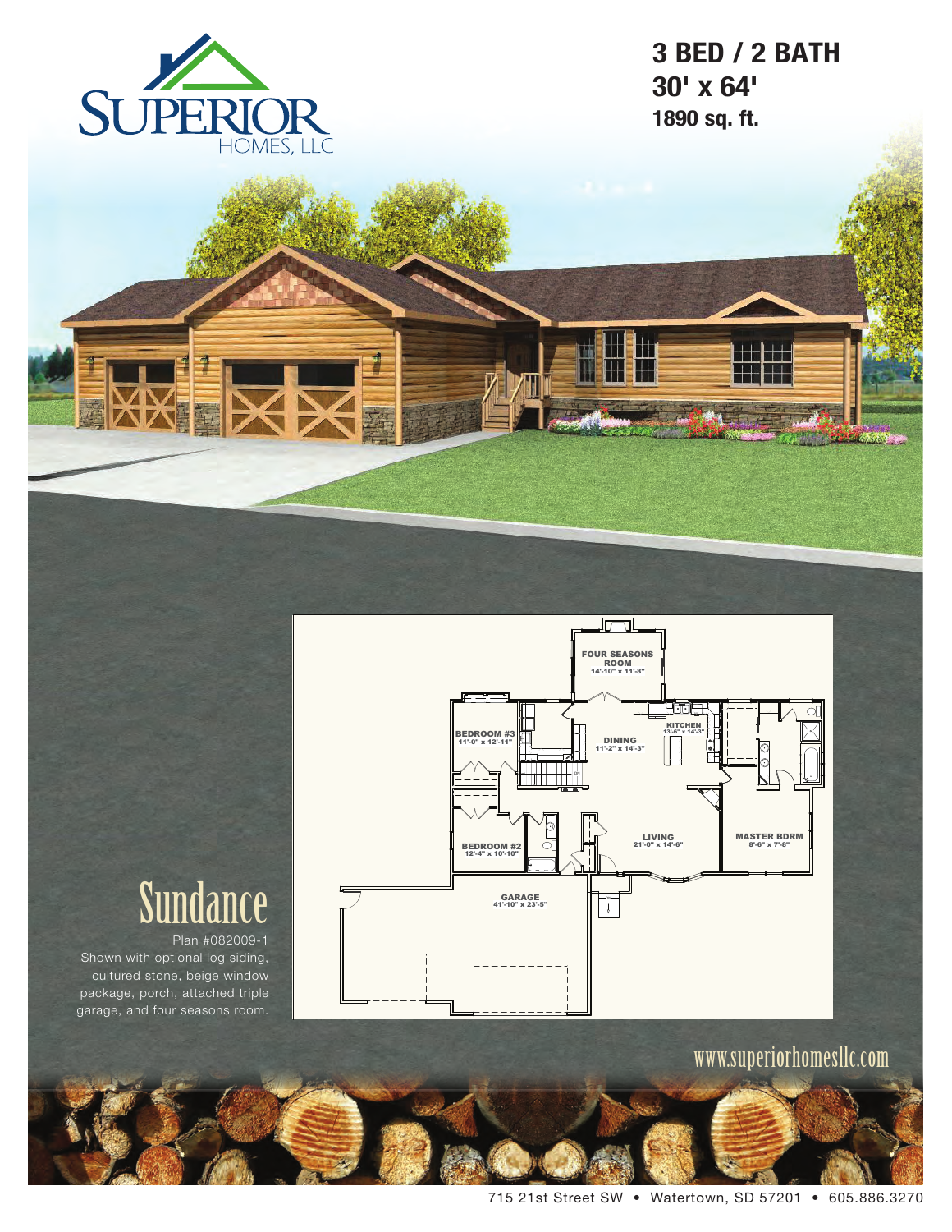

# **3 BED / 2 BATH 30' x 64' 1890 sq. ft.**





# Sundance

Plan #082009-1 Shown with optional log siding, cultured stone, beige window package, porch, attached triple garage, and four seasons room.